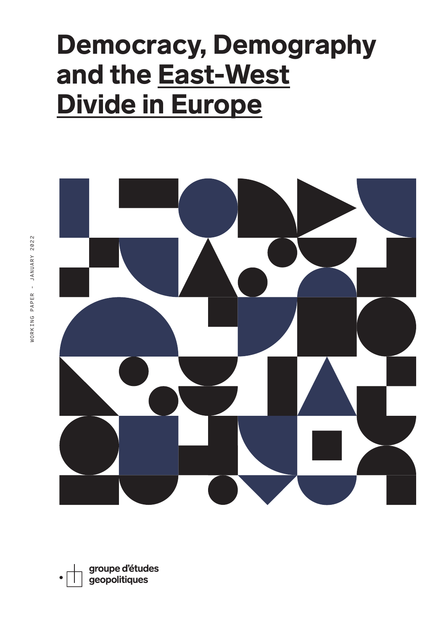# Democracy, Demography and the East-West Divide in Europe

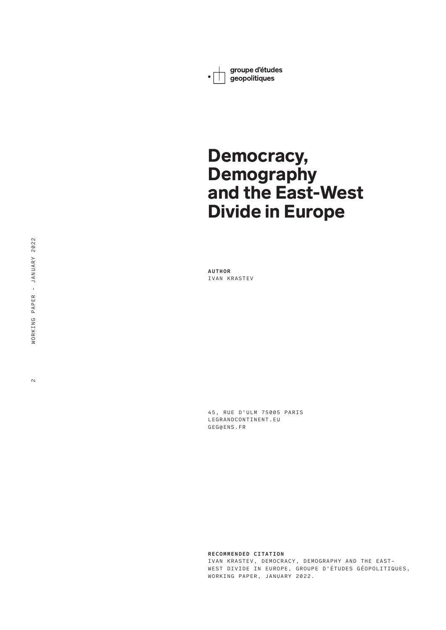groupe d'études  $\cdot \mathcal{L}$ geopolitiques

## Democracy, **Demography** and the East-West Divide in Europe

**AUTHOR** IVAN KRASTEV

45, RUE D'ULM 75005 PARIS LEGRANDCONTINENT.EU GEG@ENS.FR

**RECOMMENDED CITATION** IVAN KRASTEV, DEMOCRACY, DEMOGRAPHY AND THE EAST-WEST DIVIDE IN EUROPE, GROUPE D'ÉTUDES GÉOPOLITIQUES, WORKING PAPER, JANUARY 2022.

 $\sim$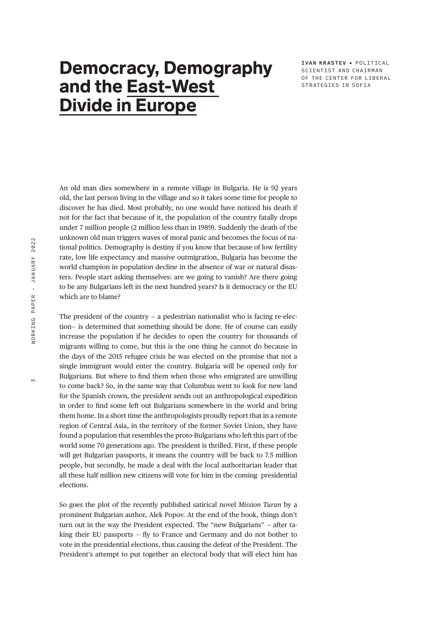### Democracy, Demography and the East-West Divide in Europe

**IVAN KRASTEV** • POLITIC AL SCIENTIST AND CHAIRMAN OF THE CENTER FOR LIBERAL STRATEGIES IN SOFIA

An old man dies somewhere in a remote village in Bulgaria. He is 92 years old, the last person living in the village and so it takes some time for people to discover he has died. Most probably, no one would have noticed his death if not for the fact that because of it, the population of the country fatally drops under 7 million people (2 million less than in 1989). Suddenly the death of the unknown old man triggers waves of moral panic and becomes the focus of national politics. Demography is destiny if you know that because of low fertility rate, low life expectancy and massive outmigration, Bulgaria has become the world champion in population decline in the absence of war or natural disasters. People start asking themselves: are we going to vanish? Are there going to be any Bulgarians left in the next hundred years? Is it democracy or the EU which are to blame?

The president of the country  $-$  a pedestrian nationalist who is facing re-election— is determined that something should be done. He of course can easily increase the population if he decides to open the country for thousands of migrants willing to come, but this is the one thing he cannot do because in the days of the 2015 refugee crisis he was elected on the promise that not a single immigrant would enter the country. Bulgaria will be opened only for Bulgarians. But where to find them when those who emigrated are unwilling to come back? So, in the same way that Columbus went to look for new land for the Spanish crown, the president sends out an anthropological expedition in order to find some left out Bulgarians somewhere in the world and bring them home. In a short time the anthropologists proudly report that in a remote region of Central Asia, in the territory of the former Soviet Union, they have found a population that resembles the proto-Bulgarians who left this part of the world some 70 generations ago. The president is thrilled. First, if these people will get Bulgarian passports, it means the country will be back to 7.5 million people, but secondly, he made a deal with the local authoritarian leader that all these half million new citizens will vote for him in the coming presidential elections.

So goes the plot of the recently published satirical novel *Mission Turan* by a prominent Bulgarian author, Alek Popov. At the end of the book, things don't turn out in the way the President expected. The "new Bulgarians" — after taking their EU passports — fly to France and Germany and do not bother to vote in the presidential elections, thus causing the defeat of the President. The President's attempt to put together an electoral body that will elect him has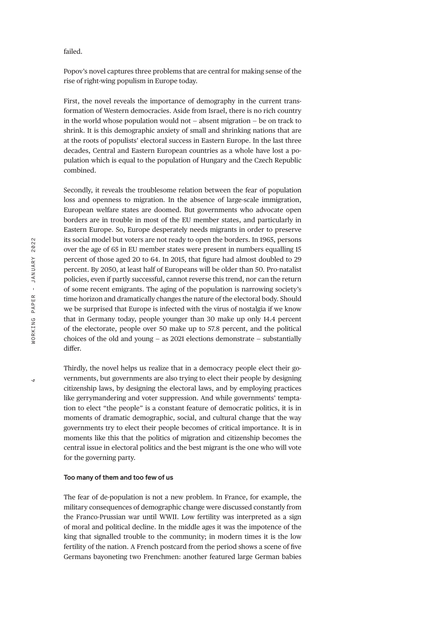#### failed.

Popov's novel captures three problems that are central for making sense of the rise of right-wing populism in Europe today.

First, the novel reveals the importance of demography in the current transformation of Western democracies. Aside from Israel, there is no rich country in the world whose population would not — absent migration — be on track to shrink. It is this demographic anxiety of small and shrinking nations that are at the roots of populists' electoral success in Eastern Europe. In the last three decades, Central and Eastern European countries as a whole have lost a population which is equal to the population of Hungary and the Czech Republic combined.

Secondly, it reveals the troublesome relation between the fear of population loss and openness to migration. In the absence of large-scale immigration, European welfare states are doomed. But governments who advocate open borders are in trouble in most of the EU member states, and particularly in Eastern Europe. So, Europe desperately needs migrants in order to preserve its social model but voters are not ready to open the borders. In 1965, persons over the age of 65 in EU member states were present in numbers equalling 15 percent of those aged 20 to 64. In 2015, that figure had almost doubled to 29 percent. By 2050, at least half of Europeans will be older than 50. Pro-natalist policies, even if partly successful, cannot reverse this trend, nor can the return of some recent emigrants. The aging of the population is narrowing society's time horizon and dramatically changes the nature of the electoral body. Should we be surprised that Europe is infected with the virus of nostalgia if we know that in Germany today, people younger than 30 make up only 14.4 percent of the electorate, people over 50 make up to 57.8 percent, and the political choices of the old and young — as 2021 elections demonstrate — substantially differ.

Thirdly, the novel helps us realize that in a democracy people elect their governments, but governments are also trying to elect their people by designing citizenship laws, by designing the electoral laws, and by employing practices like gerrymandering and voter suppression. And while governments' temptation to elect "the people" is a constant feature of democratic politics, it is in moments of dramatic demographic, social, and cultural change that the way governments try to elect their people becomes of critical importance. It is in moments like this that the politics of migration and citizenship becomes the central issue in electoral politics and the best migrant is the one who will vote for the governing party.

#### **Too many of them and too few of us**

The fear of de-population is not a new problem. In France, for example, the military consequences of demographic change were discussed constantly from the Franco-Prussian war until WWII. Low fertility was interpreted as a sign of moral and political decline. In the middle ages it was the impotence of the king that signalled trouble to the community; in modern times it is the low fertility of the nation. A French postcard from the period shows a scene of five Germans bayoneting two Frenchmen: another featured large German babies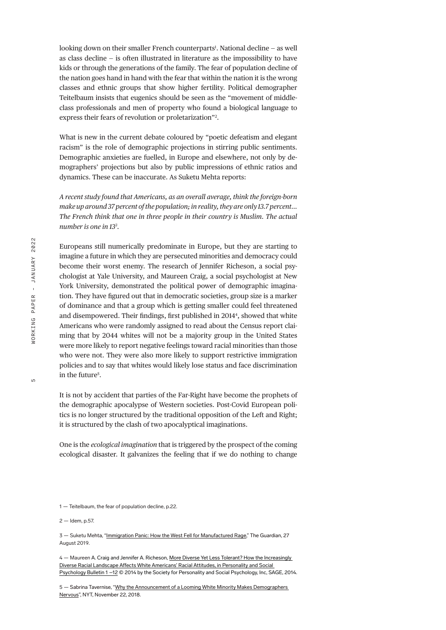looking down on their smaller French counterparts<sup>1</sup>. National decline – as well as class decline — is often illustrated in literature as the impossibility to have kids or through the generations of the family. The fear of population decline of the nation goes hand in hand with the fear that within the nation it is the wrong classes and ethnic groups that show higher fertility. Political demographer Teitelbaum insists that eugenics should be seen as the "movement of middleclass professionals and men of property who found a biological language to express their fears of revolution or proletarization"2 .

What is new in the current debate coloured by "poetic defeatism and elegant racism" is the role of demographic projections in stirring public sentiments. Demographic anxieties are fuelled, in Europe and elsewhere, not only by demographers' projections but also by public impressions of ethnic ratios and dynamics. These can be inaccurate. As Suketu Mehta reports:

*A recent study found that Americans, as an overall average, think the foreign-born make up around 37 percent of the population; in reality, they are only 13.7 percent… The French think that one in three people in their country is Muslim. The actual number is one in 133 .*

Europeans still numerically predominate in Europe, but they are starting to imagine a future in which they are persecuted minorities and democracy could become their worst enemy. The research of Jennifer Richeson, a social psychologist at Yale University, and Maureen Craig, a social psychologist at New York University, demonstrated the political power of demographic imagination. They have figured out that in democratic societies, group size is a marker of dominance and that a group which is getting smaller could feel threatened and disempowered. Their findings, first published in 20144 , showed that white Americans who were randomly assigned to read about the Census report claiming that by 2044 whites will not be a majority group in the United States were more likely to report negative feelings toward racial minorities than those who were not. They were also more likely to support restrictive immigration policies and to say that whites would likely lose status and face discrimination in the future<sup>5</sup>.

It is not by accident that parties of the Far-Right have become the prophets of the demographic apocalypse of Western societies. Post-Covid European politics is no longer structured by the traditional opposition of the Left and Right; it is structured by the clash of two apocalyptical imaginations.

One is the *ecological imagination* that is triggered by the prospect of the coming ecological disaster. It galvanizes the feeling that if we do nothing to change

4 — Maureen A. Craig and Jennifer A. Richeson, More Diverse Yet Less Tolerant? How the Increasingly Diverse Racial Landscape Affects White Americans' Racial Attitudes, in Personality and Social Psychology Bulletin 1 –12 © 2014 by the Society for Personality and Social Psychology, Inc, SAGE, 2014.

5 — Sabrina Tavernise, "Why the Announcement of a Looming White Minority Makes Demographers Nervous", NYT, November 22, 2018.

<sup>1 —</sup> Teitelbaum, the fear of population decline, p.22.

<sup>2 —</sup> Idem, p.57.

<sup>3 —</sup> Suketu Mehta, "Immigration Panic: How the West Fell for Manufactured Rage," The Guardian, 27 August 2019.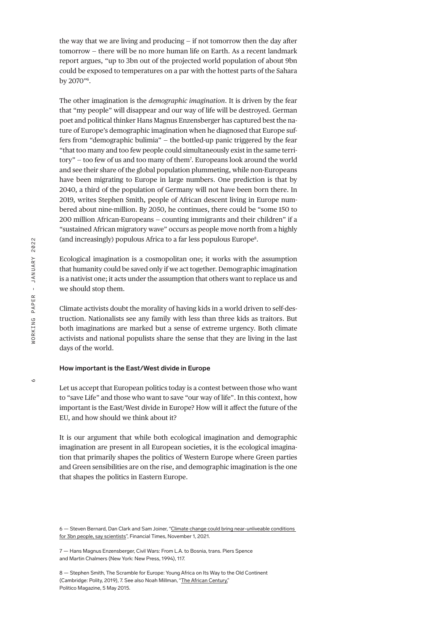the way that we are living and producing — if not tomorrow then the day after tomorrow — there will be no more human life on Earth. As a recent landmark report argues, "up to 3bn out of the projected world population of about 9bn could be exposed to temperatures on a par with the hottest parts of the Sahara by 2070"6 .

The other imagination is the *demographic imagination*. It is driven by the fear that "my people" will disappear and our way of life will be destroyed. German poet and political thinker Hans Magnus Enzensberger has captured best the nature of Europe's demographic imagination when he diagnosed that Europe suffers from "demographic bulimia" — the bottled-up panic triggered by the fear "that too many and too few people could simultaneously exist in the same territory" — too few of us and too many of them7 . Europeans look around the world and see their share of the global population plummeting, while non-Europeans have been migrating to Europe in large numbers. One prediction is that by 2040, a third of the population of Germany will not have been born there. In 2019, writes Stephen Smith, people of African descent living in Europe numbered about nine-million. By 2050, he continues, there could be "some 150 to 200 million African-Europeans — counting immigrants and their children" if a "sustained African migratory wave" occurs as people move north from a highly (and increasingly) populous Africa to a far less populous Europe8 .

Ecological imagination is a cosmopolitan one; it works with the assumption that humanity could be saved only if we act together. Demographic imagination is a nativist one; it acts under the assumption that others want to replace us and we should stop them.

Climate activists doubt the morality of having kids in a world driven to self-destruction. Nationalists see any family with less than three kids as traitors. But both imaginations are marked but a sense of extreme urgency. Both climate activists and national populists share the sense that they are living in the last days of the world.

#### **How important is the East/West divide in Europe**

Let us accept that European politics today is a contest between those who want to "save Life" and those who want to save "our way of life". In this context, how important is the East/West divide in Europe? How will it affect the future of the EU, and how should we think about it?

It is our argument that while both ecological imagination and demographic imagination are present in all European societies, it is the ecological imagination that primarily shapes the politics of Western Europe where Green parties and Green sensibilities are on the rise, and demographic imagination is the one that shapes the politics in Eastern Europe.

<sup>6 —</sup> Steven Bernard, Dan Clark and Sam Joiner, "Climate change could bring near-unliveable conditions for 3bn people, say scientists", Financial Times, November 1, 2021.

<sup>7 —</sup> Hans Magnus Enzensberger, Civil Wars: From L.A. to Bosnia, trans. Piers Spence and Martin Chalmers (New York: New Press, 1994), 117.

<sup>8 —</sup> Stephen Smith, The Scramble for Europe: Young Africa on Its Way to the Old Continent (Cambridge: Polity, 2019), 7. See also Noah Millman, "The African Century," Politico Magazine, 5 May 2015.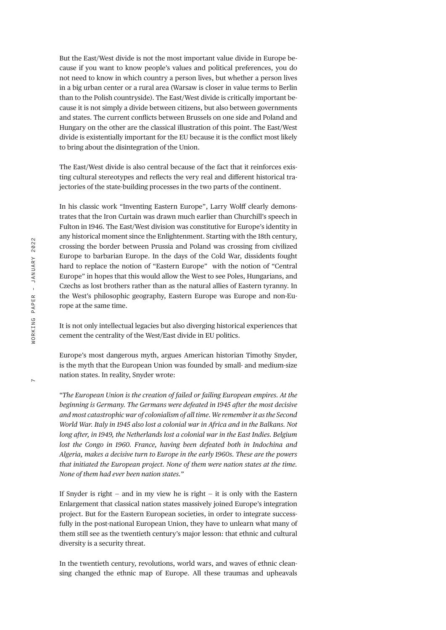But the East/West divide is not the most important value divide in Europe because if you want to know people's values and political preferences, you do not need to know in which country a person lives, but whether a person lives in a big urban center or a rural area (Warsaw is closer in value terms to Berlin than to the Polish countryside). The East/West divide is critically important because it is not simply a divide between citizens, but also between governments and states. The current conflicts between Brussels on one side and Poland and Hungary on the other are the classical illustration of this point. The East/West divide is existentially important for the EU because it is the conflict most likely to bring about the disintegration of the Union.

The East/West divide is also central because of the fact that it reinforces existing cultural stereotypes and reflects the very real and different historical trajectories of the state-building processes in the two parts of the continent.

In his classic work "Inventing Eastern Europe", Larry Wolff clearly demonstrates that the Iron Curtain was drawn much earlier than Churchill's speech in Fulton in 1946. The East/West division was constitutive for Europe's identity in any historical moment since the Enlightenment. Starting with the 18th century, crossing the border between Prussia and Poland was crossing from civilized Europe to barbarian Europe. In the days of the Cold War, dissidents fought hard to replace the notion of "Eastern Europe" with the notion of "Central Europe" in hopes that this would allow the West to see Poles, Hungarians, and Czechs as lost brothers rather than as the natural allies of Eastern tyranny. In the West's philosophic geography, Eastern Europe was Europe and non-Europe at the same time.

It is not only intellectual legacies but also diverging historical experiences that cement the centrality of the West/East divide in EU politics.

Europe's most dangerous myth, argues American historian Timothy Snyder, is the myth that the European Union was founded by small- and medium-size nation states. In reality, Snyder wrote:

*"The European Union is the creation of failed or failing European empires. At the beginning is Germany. The Germans were defeated in 1945 after the most decisive and most catastrophic war of colonialism of all time. We remember it as the Second World War. Italy in 1945 also lost a colonial war in Africa and in the Balkans. Not long after, in 1949, the Netherlands lost a colonial war in the East Indies. Belgium lost the Congo in 1960. France, having been defeated both in Indochina and Algeria, makes a decisive turn to Europe in the early 1960s. These are the powers that initiated the European project. None of them were nation states at the time. None of them had ever been nation states."*

If Snyder is right  $-$  and in my view he is right  $-$  it is only with the Eastern Enlargement that classical nation states massively joined Europe's integration project. But for the Eastern European societies, in order to integrate successfully in the post-national European Union, they have to unlearn what many of them still see as the twentieth century's major lesson: that ethnic and cultural diversity is a security threat.

In the twentieth century, revolutions, world wars, and waves of ethnic cleansing changed the ethnic map of Europe. All these traumas and upheavals

 $\overline{r}$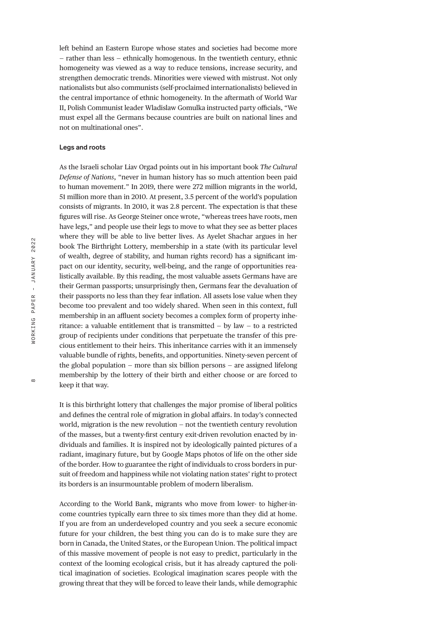left behind an Eastern Europe whose states and societies had become more — rather than less — ethnically homogenous. In the twentieth century, ethnic homogeneity was viewed as a way to reduce tensions, increase security, and strengthen democratic trends. Minorities were viewed with mistrust. Not only nationalists but also communists (self-proclaimed internationalists) believed in the central importance of ethnic homogeneity. In the aftermath of World War II, Polish Communist leader Wladislaw Gomulka instructed party officials, "We must expel all the Germans because countries are built on national lines and not on multinational ones".

### **Legs and roots**

As the Israeli scholar Liav Orgad points out in his important book *The Cultural Defense of Nations*, "never in human history has so much attention been paid to human movement." In 2019, there were 272 million migrants in the world, 51 million more than in 2010. At present, 3.5 percent of the world's population consists of migrants. In 2010, it was 2.8 percent. The expectation is that these figures will rise. As George Steiner once wrote, "whereas trees have roots, men have legs," and people use their legs to move to what they see as better places where they will be able to live better lives. As Ayelet Shachar argues in her book The Birthright Lottery, membership in a state (with its particular level of wealth, degree of stability, and human rights record) has a significant impact on our identity, security, well-being, and the range of opportunities realistically available. By this reading, the most valuable assets Germans have are their German passports; unsurprisingly then, Germans fear the devaluation of their passports no less than they fear inflation. All assets lose value when they become too prevalent and too widely shared. When seen in this context, full membership in an affluent society becomes a complex form of property inheritance: a valuable entitlement that is transmitted — by law — to a restricted group of recipients under conditions that perpetuate the transfer of this precious entitlement to their heirs. This inheritance carries with it an immensely valuable bundle of rights, benefits, and opportunities. Ninety-seven percent of the global population — more than six billion persons — are assigned lifelong membership by the lottery of their birth and either choose or are forced to keep it that way.

It is this birthright lottery that challenges the major promise of liberal politics and defines the central role of migration in global affairs. In today's connected world, migration is the new revolution — not the twentieth century revolution of the masses, but a twenty-first century exit-driven revolution enacted by individuals and families. It is inspired not by ideologically painted pictures of a radiant, imaginary future, but by Google Maps photos of life on the other side of the border. How to guarantee the right of individuals to cross borders in pursuit of freedom and happiness while not violating nation states' right to protect its borders is an insurmountable problem of modern liberalism.

According to the World Bank, migrants who move from lower- to higher-income countries typically earn three to six times more than they did at home. If you are from an underdeveloped country and you seek a secure economic future for your children, the best thing you can do is to make sure they are born in Canada, the United States, or the European Union. The political impact of this massive movement of people is not easy to predict, particularly in the context of the looming ecological crisis, but it has already captured the political imagination of societies. Ecological imagination scares people with the growing threat that they will be forced to leave their lands, while demographic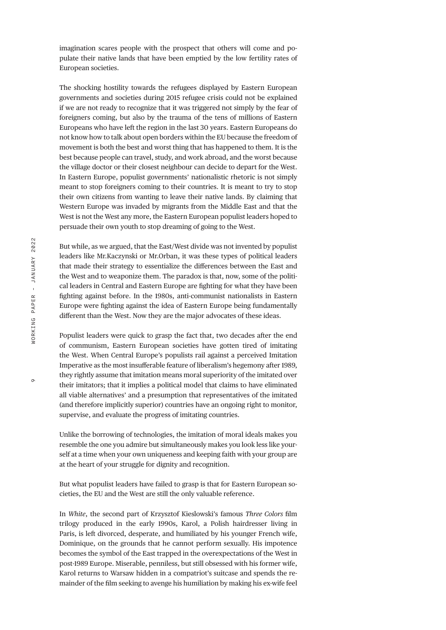imagination scares people with the prospect that others will come and populate their native lands that have been emptied by the low fertility rates of European societies.

The shocking hostility towards the refugees displayed by Eastern European governments and societies during 2015 refugee crisis could not be explained if we are not ready to recognize that it was triggered not simply by the fear of foreigners coming, but also by the trauma of the tens of millions of Eastern Europeans who have left the region in the last 30 years. Eastern Europeans do not know how to talk about open borders within the EU because the freedom of movement is both the best and worst thing that has happened to them. It is the best because people can travel, study, and work abroad, and the worst because the village doctor or their closest neighbour can decide to depart for the West. In Eastern Europe, populist governments' nationalistic rhetoric is not simply meant to stop foreigners coming to their countries. It is meant to try to stop their own citizens from wanting to leave their native lands. By claiming that Western Europe was invaded by migrants from the Middle East and that the West is not the West any more, the Eastern European populist leaders hoped to persuade their own youth to stop dreaming of going to the West.

But while, as we argued, that the East/West divide was not invented by populist leaders like Mr.Kaczynski or Mr.Orban, it was these types of political leaders that made their strategy to essentialize the differences between the East and the West and to weaponize them. The paradox is that, now, some of the political leaders in Central and Eastern Europe are fighting for what they have been fighting against before. In the 1980s, anti-communist nationalists in Eastern Europe were fighting against the idea of Eastern Europe being fundamentally different than the West. Now they are the major advocates of these ideas.

Populist leaders were quick to grasp the fact that, two decades after the end of communism, Eastern European societies have gotten tired of imitating the West. When Central Europe's populists rail against a perceived Imitation Imperative as the most insufferable feature of liberalism's hegemony after 1989, they rightly assume that imitation means moral superiority of the imitated over their imitators; that it implies a political model that claims to have eliminated all viable alternatives' and a presumption that representatives of the imitated (and therefore implicitly superior) countries have an ongoing right to monitor, supervise, and evaluate the progress of imitating countries.

Unlike the borrowing of technologies, the imitation of moral ideals makes you resemble the one you admire but simultaneously makes you look less like yourself at a time when your own uniqueness and keeping faith with your group are at the heart of your struggle for dignity and recognition.

But what populist leaders have failed to grasp is that for Eastern European societies, the EU and the West are still the only valuable reference.

In *White*, the second part of Krzysztof Kieslowski's famous *Three Colors* film trilogy produced in the early 1990s, Karol, a Polish hairdresser living in Paris, is left divorced, desperate, and humiliated by his younger French wife, Dominique, on the grounds that he cannot perform sexually. His impotence becomes the symbol of the East trapped in the overexpectations of the West in post-1989 Europe. Miserable, penniless, but still obsessed with his former wife, Karol returns to Warsaw hidden in a compatriot's suitcase and spends the remainder of the film seeking to avenge his humiliation by making his ex-wife feel

 $\circ$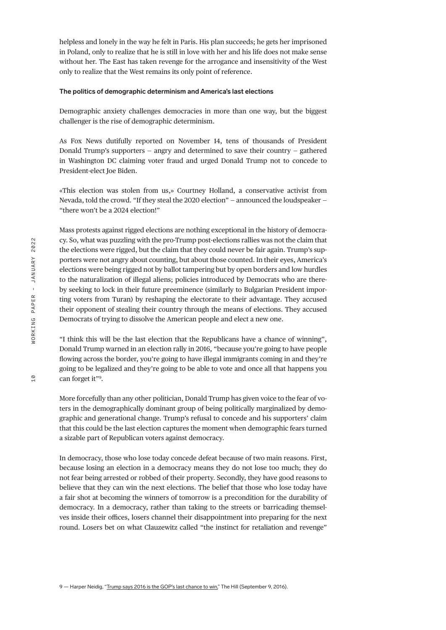helpless and lonely in the way he felt in Paris. His plan succeeds; he gets her imprisoned in Poland, only to realize that he is still in love with her and his life does not make sense without her. The East has taken revenge for the arrogance and insensitivity of the West only to realize that the West remains its only point of reference.

#### **The politics of demographic determinism and America's last elections**

Demographic anxiety challenges democracies in more than one way, but the biggest challenger is the rise of demographic determinism.

As Fox News dutifully reported on November 14, tens of thousands of President Donald Trump's supporters — angry and determined to save their country — gathered in Washington DC claiming voter fraud and urged Donald Trump not to concede to President-elect Joe Biden.

«This election was stolen from us,» Courtney Holland, a conservative activist from Nevada, told the crowd. "If they steal the 2020 election" — announced the loudspeaker — "there won't be a 2024 election!"

Mass protests against rigged elections are nothing exceptional in the history of democracy. So, what was puzzling with the pro-Trump post-elections rallies was not the claim that the elections were rigged, but the claim that they could never be fair again. Trump's supporters were not angry about counting, but about those counted. In their eyes, America's elections were being rigged not by ballot tampering but by open borders and low hurdles to the naturalization of illegal aliens; policies introduced by Democrats who are thereby seeking to lock in their future preeminence (similarly to Bulgarian President importing voters from Turan) by reshaping the electorate to their advantage. They accused their opponent of stealing their country through the means of elections. They accused Democrats of trying to dissolve the American people and elect a new one.

"I think this will be the last election that the Republicans have a chance of winning", Donald Trump warned in an election rally in 2016, "because you're going to have people flowing across the border, you're going to have illegal immigrants coming in and they're going to be legalized and they're going to be able to vote and once all that happens you can forget it"9 .

More forcefully than any other politician, Donald Trump has given voice to the fear of voters in the demographically dominant group of being politically marginalized by demographic and generational change. Trump's refusal to concede and his supporters' claim that this could be the last election captures the moment when demographic fears turned a sizable part of Republican voters against democracy.

In democracy, those who lose today concede defeat because of two main reasons. First, because losing an election in a democracy means they do not lose too much; they do not fear being arrested or robbed of their property. Secondly, they have good reasons to believe that they can win the next elections. The belief that those who lose today have a fair shot at becoming the winners of tomorrow is a precondition for the durability of democracy. In a democracy, rather than taking to the streets or barricading themselves inside their offices, losers channel their disappointment into preparing for the next round. Losers bet on what Clauzewitz called "the instinct for retaliation and revenge"

10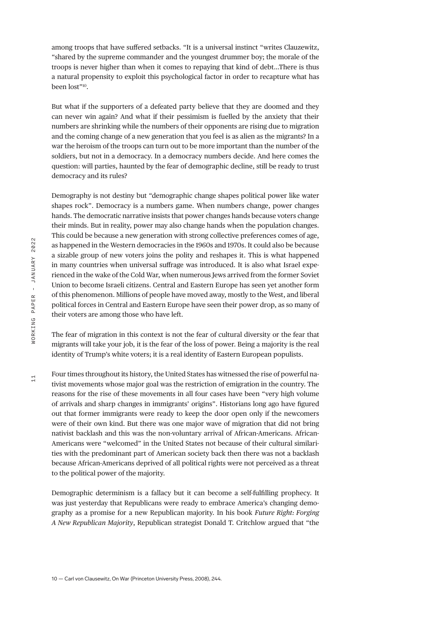among troops that have suffered setbacks. "It is a universal instinct "writes Clauzewitz, "shared by the supreme commander and the youngest drummer boy; the morale of the troops is never higher than when it comes to repaying that kind of debt…There is thus a natural propensity to exploit this psychological factor in order to recapture what has been lost"10.

But what if the supporters of a defeated party believe that they are doomed and they can never win again? And what if their pessimism is fuelled by the anxiety that their numbers are shrinking while the numbers of their opponents are rising due to migration and the coming change of a new generation that you feel is as alien as the migrants? In a war the heroism of the troops can turn out to be more important than the number of the soldiers, but not in a democracy. In a democracy numbers decide. And here comes the question: will parties, haunted by the fear of demographic decline, still be ready to trust democracy and its rules?

Demography is not destiny but "demographic change shapes political power like water shapes rock". Democracy is a numbers game. When numbers change, power changes hands. The democratic narrative insists that power changes hands because voters change their minds. But in reality, power may also change hands when the population changes. This could be because a new generation with strong collective preferences comes of age, as happened in the Western democracies in the 1960s and 1970s. It could also be because a sizable group of new voters joins the polity and reshapes it. This is what happened in many countries when universal suffrage was introduced. It is also what Israel experienced in the wake of the Cold War, when numerous Jews arrived from the former Soviet Union to become Israeli citizens. Central and Eastern Europe has seen yet another form of this phenomenon. Millions of people have moved away, mostly to the West, and liberal political forces in Central and Eastern Europe have seen their power drop, as so many of their voters are among those who have left.

The fear of migration in this context is not the fear of cultural diversity or the fear that migrants will take your job, it is the fear of the loss of power. Being a majority is the real identity of Trump's white voters; it is a real identity of Eastern European populists.

Four times throughout its history, the United States has witnessed the rise of powerful nativist movements whose major goal was the restriction of emigration in the country. The reasons for the rise of these movements in all four cases have been "very high volume of arrivals and sharp changes in immigrants' origins". Historians long ago have figured out that former immigrants were ready to keep the door open only if the newcomers were of their own kind. But there was one major wave of migration that did not bring nativist backlash and this was the non-voluntary arrival of African-Americans. African-Americans were "welcomed" in the United States not because of their cultural similarities with the predominant part of American society back then there was not a backlash because African-Americans deprived of all political rights were not perceived as a threat to the political power of the majority.

Demographic determinism is a fallacy but it can become a self-fulfilling prophecy. It was just yesterday that Republicans were ready to embrace America's changing demography as a promise for a new Republican majority. In his book *Future Right: Forging A New Republican Majority*, Republican strategist Donald T. Critchlow argued that "the

 $11$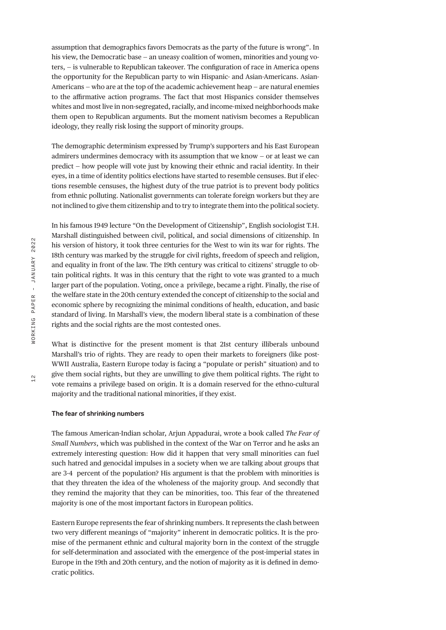assumption that demographics favors Democrats as the party of the future is wrong". In his view, the Democratic base – an uneasy coalition of women, minorities and young voters, — is vulnerable to Republican takeover. The configuration of race in America opens the opportunity for the Republican party to win Hispanic- and Asian-Americans. Asian-Americans — who are at the top of the academic achievement heap — are natural enemies to the affirmative action programs. The fact that most Hispanics consider themselves whites and most live in non-segregated, racially, and income-mixed neighborhoods make them open to Republican arguments. But the moment nativism becomes a Republican ideology, they really risk losing the support of minority groups.

The demographic determinism expressed by Trump's supporters and his East European admirers undermines democracy with its assumption that we know — or at least we can predict — how people will vote just by knowing their ethnic and racial identity. In their eyes, in a time of identity politics elections have started to resemble censuses. But if elections resemble censuses, the highest duty of the true patriot is to prevent body politics from ethnic polluting. Nationalist governments can tolerate foreign workers but they are not inclined to give them citizenship and to try to integrate them into the political society.

In his famous 1949 lecture "On the Development of Citizenship", English sociologist T.H. Marshall distinguished between civil, political, and social dimensions of citizenship. In his version of history, it took three centuries for the West to win its war for rights. The 18th century was marked by the struggle for civil rights, freedom of speech and religion, and equality in front of the law. The 19th century was critical to citizens' struggle to obtain political rights. It was in this century that the right to vote was granted to a much larger part of the population. Voting, once a privilege, became a right. Finally, the rise of the welfare state in the 20th century extended the concept of citizenship to the social and economic sphere by recognizing the minimal conditions of health, education, and basic standard of living. In Marshall's view, the modern liberal state is a combination of these rights and the social rights are the most contested ones.

What is distinctive for the present moment is that 21st century illiberals unbound Marshall's trio of rights. They are ready to open their markets to foreigners (like post-WWII Australia, Eastern Europe today is facing a "populate or perish" situation) and to give them social rights, but they are unwilling to give them political rights. The right to vote remains a privilege based on origin. It is a domain reserved for the ethno-cultural majority and the traditional national minorities, if they exist.

#### **The fear of shrinking numbers**

The famous American-Indian scholar, Arjun Appadurai, wrote a book called *The Fear of Small Numbers*, which was published in the context of the War on Terror and he asks an extremely interesting question: How did it happen that very small minorities can fuel such hatred and genocidal impulses in a society when we are talking about groups that are 3-4 percent of the population? His argument is that the problem with minorities is that they threaten the idea of the wholeness of the majority group. And secondly that they remind the majority that they can be minorities, too. This fear of the threatened majority is one of the most important factors in European politics.

Eastern Europe represents the fear of shrinking numbers. It represents the clash between two very different meanings of "majority" inherent in democratic politics. It is the promise of the permanent ethnic and cultural majority born in the context of the struggle for self-determination and associated with the emergence of the post-imperial states in Europe in the 19th and 20th century, and the notion of majority as it is defined in democratic politics.